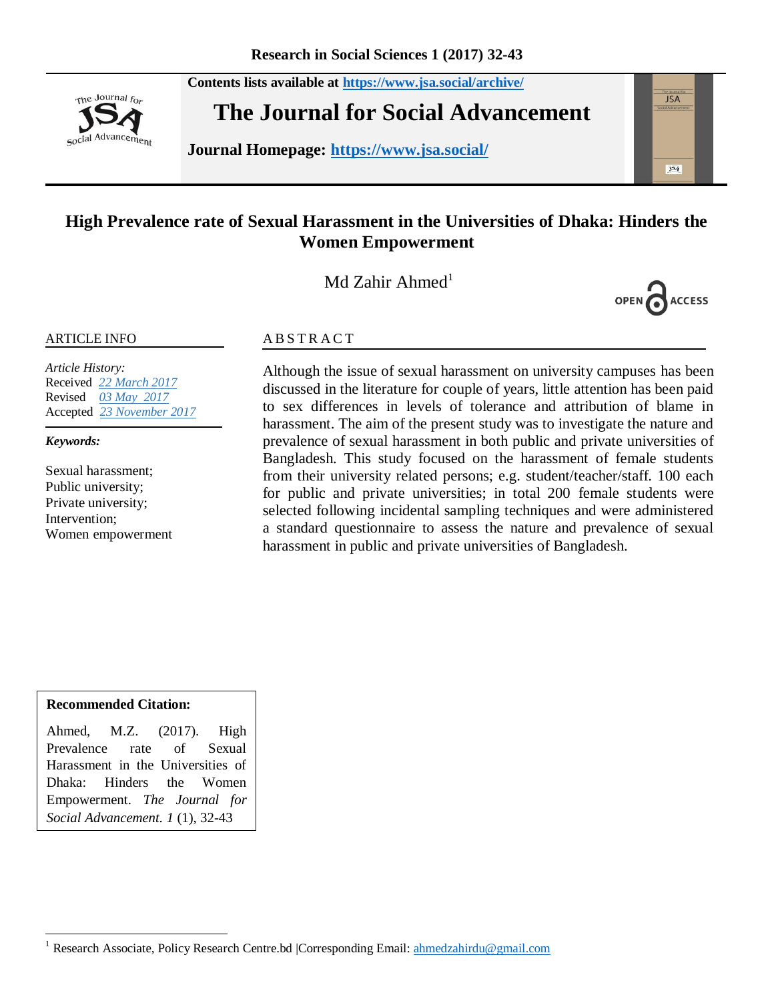**Contents lists available at <https://www.jsa.social/archive/>**



**The Journal for Social Advancement** 

**Journal Homepage: <https://www.jsa.social/>**



# **High Prevalence rate of Sexual Harassment in the Universities of Dhaka: Hinders the Women Empowerment**

Md Zahir Ahmed<sup>1</sup>



#### ARTICLE INFO

*Article History:*  Received *22 March 2017* Revised *03 May 2017* Accepted *23 November 2017*

*Keywords:* 

Sexual harassment; Public university; Private university; Intervention; Women empowerment

#### **ABSTRACT**

Although the issue of sexual harassment on university campuses has been discussed in the literature for couple of years, little attention has been paid to sex differences in levels of tolerance and attribution of blame in harassment. The aim of the present study was to investigate the nature and prevalence of sexual harassment in both public and private universities of Bangladesh. This study focused on the harassment of female students from their university related persons; e.g. student/teacher/staff. 100 each for public and private universities; in total 200 female students were selected following incidental sampling techniques and were administered a standard questionnaire to assess the nature and prevalence of sexual harassment in public and private universities of Bangladesh.

#### **Recommended Citation:**

Ahmed, M.Z. (2017). High Prevalence rate of Sexual Harassment in the Universities of Dhaka: Hinders the Women Empowerment. *The Journal for Social Advancement. 1* (1), 32-43

 $\overline{\phantom{a}}$ <sup>1</sup> Research Associate, Policy Research Centre.bd | Corresponding Email[: ahmedzahirdu@gmail.com](mailto:ahmedzahirdu@gmail.com)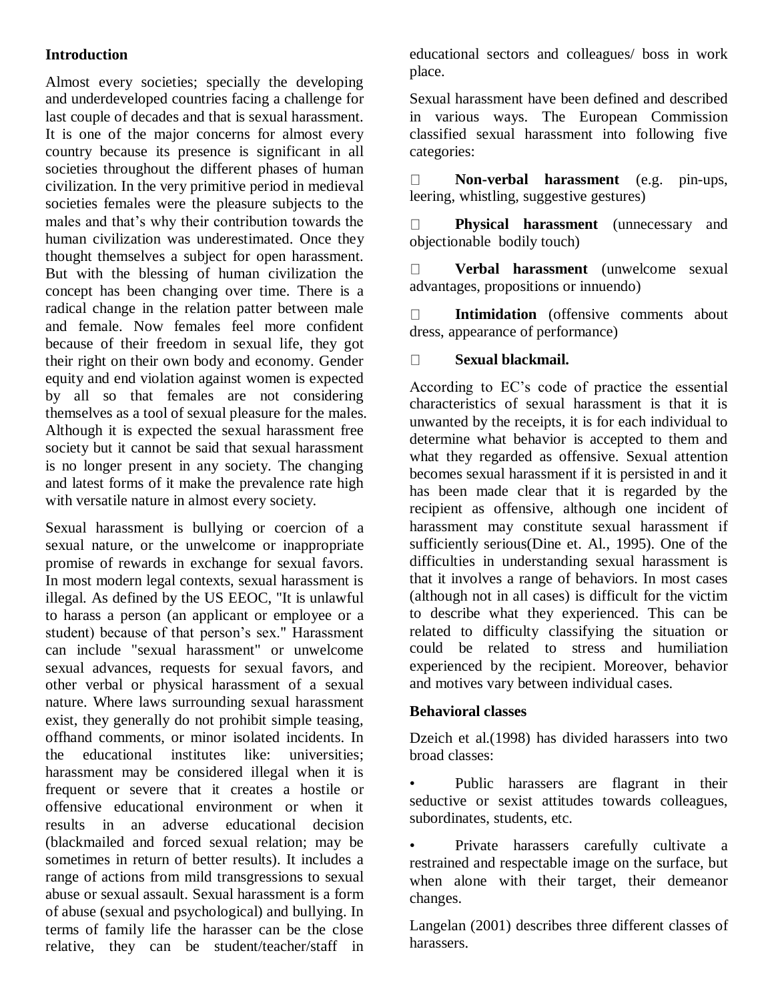## **Introduction**

Almost every societies; specially the developing and underdeveloped countries facing a challenge for last couple of decades and that is sexual harassment. It is one of the major concerns for almost every country because its presence is significant in all societies throughout the different phases of human civilization. In the very primitive period in medieval societies females were the pleasure subjects to the males and that's why their contribution towards the human civilization was underestimated. Once they thought themselves a subject for open harassment. But with the blessing of human civilization the concept has been changing over time. There is a radical change in the relation patter between male and female. Now females feel more confident because of their freedom in sexual life, they got their right on their own body and economy. Gender equity and end violation against women is expected by all so that females are not considering themselves as a tool of sexual pleasure for the males. Although it is expected the sexual harassment free society but it cannot be said that sexual harassment is no longer present in any society. The changing and latest forms of it make the prevalence rate high with versatile nature in almost every society.

Sexual harassment is bullying or coercion of a sexual nature, or the unwelcome or inappropriate promise of rewards in exchange for sexual favors. In most modern legal contexts, sexual harassment is illegal. As defined by the US EEOC, "It is unlawful to harass a person (an applicant or employee or a student) because of that person's sex." Harassment can include "sexual harassment" or unwelcome sexual advances, requests for sexual favors, and other verbal or physical harassment of a sexual nature. Where laws surrounding sexual harassment exist, they generally do not prohibit simple teasing, offhand comments, or minor isolated incidents. In the educational institutes like: universities; harassment may be considered illegal when it is frequent or severe that it creates a hostile or offensive educational environment or when it results in an adverse educational decision (blackmailed and forced sexual relation; may be sometimes in return of better results). It includes a range of actions from mild transgressions to sexual abuse or sexual assault. Sexual harassment is a form of abuse (sexual and psychological) and bullying. In terms of family life the harasser can be the close relative, they can be student/teacher/staff in educational sectors and colleagues/ boss in work place.

Sexual harassment have been defined and described in various ways. The European Commission classified sexual harassment into following five categories:

 $\Box$ **Non-verbal harassment** (e.g. pin-ups, leering, whistling, suggestive gestures)

 $\Box$ **Physical harassment** (unnecessary and objectionable bodily touch)

 $\Box$ **Verbal harassment** (unwelcome sexual advantages, propositions or innuendo)

**Intimidation** (offensive comments about  $\Box$ dress, appearance of performance)

#### $\Box$ **Sexual blackmail.**

According to EC's code of practice the essential characteristics of sexual harassment is that it is unwanted by the receipts, it is for each individual to determine what behavior is accepted to them and what they regarded as offensive. Sexual attention becomes sexual harassment if it is persisted in and it has been made clear that it is regarded by the recipient as offensive, although one incident of harassment may constitute sexual harassment if sufficiently serious(Dine et. Al., 1995). One of the difficulties in understanding sexual harassment is that it involves a range of behaviors. In most cases (although not in all cases) is difficult for the victim to describe what they experienced. This can be related to difficulty classifying the situation or could be related to stress and humiliation experienced by the recipient. Moreover, behavior and motives vary between individual cases.

### **Behavioral classes**

Dzeich et al.(1998) has divided harassers into two broad classes:

Public harassers are flagrant in their seductive or sexist attitudes towards colleagues, subordinates, students, etc.

• Private harassers carefully cultivate a restrained and respectable image on the surface, but when alone with their target, their demeanor changes.

Langelan (2001) describes three different classes of harassers.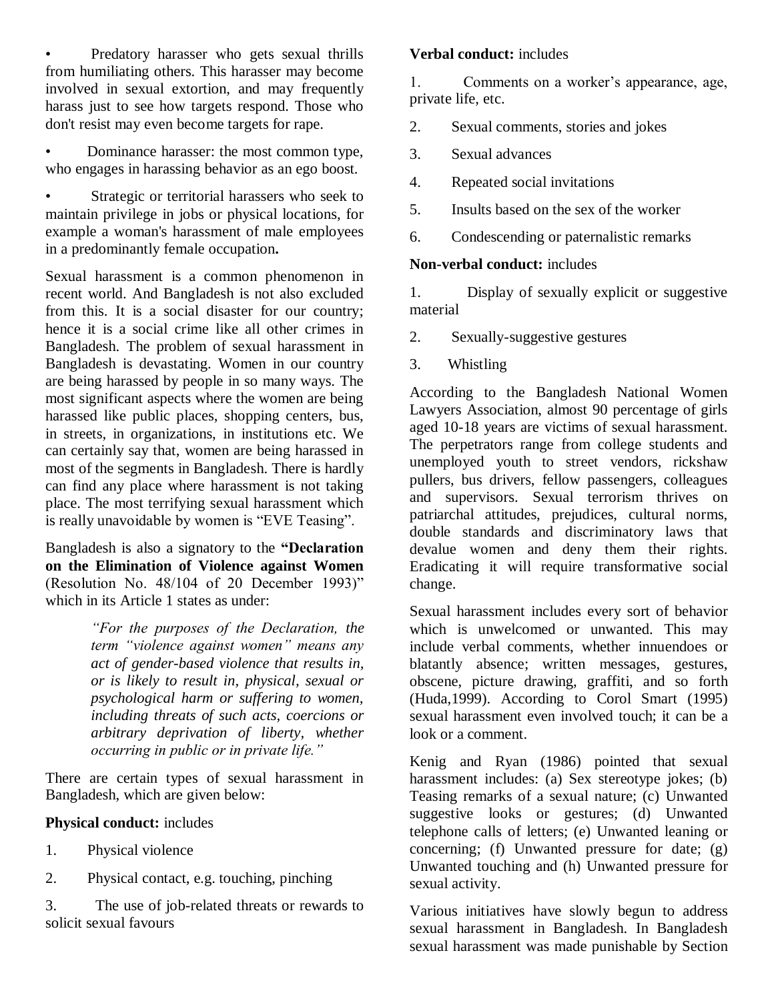• Predatory harasser who gets sexual thrills from humiliating others. This harasser may become involved in sexual extortion, and may frequently harass just to see how targets respond. Those who don't resist may even become targets for rape.

• Dominance harasser: the most common type, who engages in harassing behavior as an ego boost.

Strategic or territorial harassers who seek to maintain privilege in jobs or physical locations, for example a woman's harassment of male employees in a predominantly female occupation**.**

Sexual harassment is a common phenomenon in recent world. And Bangladesh is not also excluded from this. It is a social disaster for our country; hence it is a social crime like all other crimes in Bangladesh. The problem of sexual harassment in Bangladesh is devastating. Women in our country are being harassed by people in so many ways. The most significant aspects where the women are being harassed like public places, shopping centers, bus, in streets, in organizations, in institutions etc. We can certainly say that, women are being harassed in most of the segments in Bangladesh. There is hardly can find any place where harassment is not taking place. The most terrifying sexual harassment which is really unavoidable by women is "EVE Teasing".

Bangladesh is also a signatory to the **"Declaration on the Elimination of Violence against Women**  (Resolution No.  $48/104$  of 20 December 1993)" which in its Article 1 states as under:

> *"For the purposes of the Declaration, the term "violence against women" means any act of gender-based violence that results in, or is likely to result in, physical, sexual or psychological harm or suffering to women, including threats of such acts, coercions or arbitrary deprivation of liberty, whether occurring in public or in private life."*

There are certain types of sexual harassment in Bangladesh, which are given below:

### **Physical conduct:** includes

- 1. Physical violence
- 2. Physical contact, e.g. touching, pinching

3. The use of job-related threats or rewards to solicit sexual favours

#### **Verbal conduct:** includes

1. Comments on a worker's appearance, age, private life, etc.

- 2. Sexual comments, stories and jokes
- 3. Sexual advances
- 4. Repeated social invitations
- 5. Insults based on the sex of the worker
- 6. Condescending or paternalistic remarks

### **Non-verbal conduct:** includes

1. Display of sexually explicit or suggestive material

- 2. Sexually-suggestive gestures
- 3. Whistling

According to the Bangladesh National Women Lawyers Association, almost 90 percentage of girls aged 10-18 years are victims of sexual harassment. The perpetrators range from college students and unemployed youth to street vendors, rickshaw pullers, bus drivers, fellow passengers, colleagues and supervisors. Sexual terrorism thrives on patriarchal attitudes, prejudices, cultural norms, double standards and discriminatory laws that devalue women and deny them their rights. Eradicating it will require transformative social change.

Sexual harassment includes every sort of behavior which is unwelcomed or unwanted. This may include verbal comments, whether innuendoes or blatantly absence; written messages, gestures, obscene, picture drawing, graffiti, and so forth (Huda,1999). According to Corol Smart (1995) sexual harassment even involved touch; it can be a look or a comment.

Kenig and Ryan (1986) pointed that sexual harassment includes: (a) Sex stereotype jokes; (b) Teasing remarks of a sexual nature; (c) Unwanted suggestive looks or gestures; (d) Unwanted telephone calls of letters; (e) Unwanted leaning or concerning; (f) Unwanted pressure for date; (g) Unwanted touching and (h) Unwanted pressure for sexual activity.

Various initiatives have slowly begun to address sexual harassment in Bangladesh. In Bangladesh sexual harassment was made punishable by Section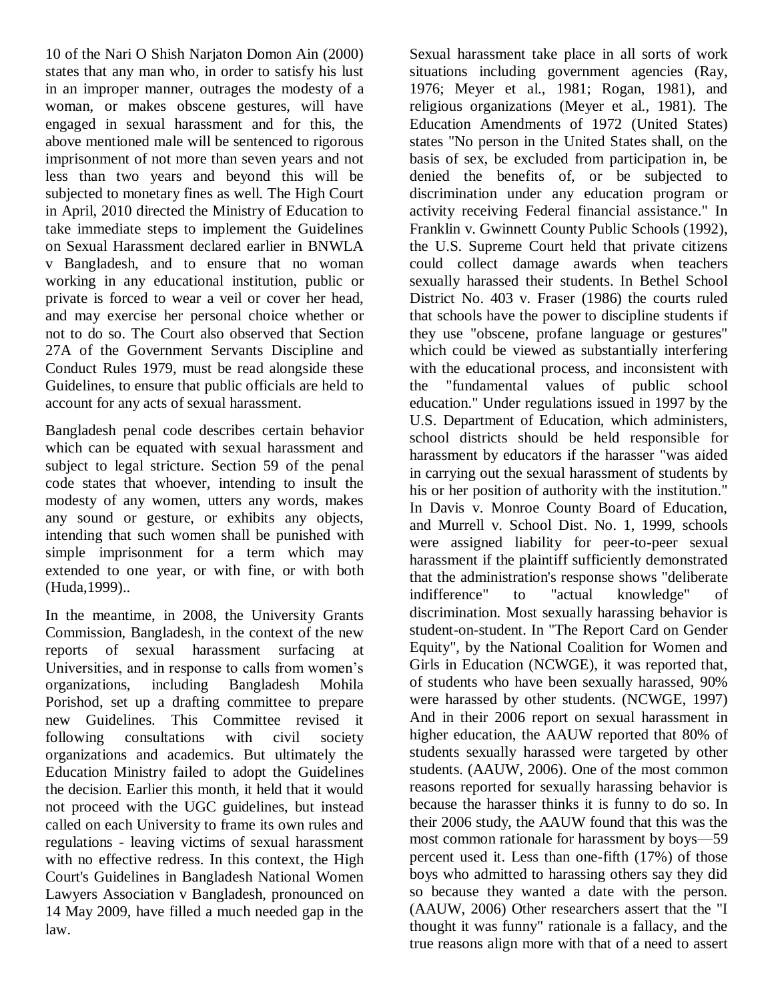10 of the Nari O Shish Narjaton Domon Ain (2000) states that any man who, in order to satisfy his lust in an improper manner, outrages the modesty of a woman, or makes obscene gestures, will have engaged in sexual harassment and for this, the above mentioned male will be sentenced to rigorous imprisonment of not more than seven years and not less than two years and beyond this will be subjected to monetary fines as well. The High Court in April, 2010 directed the Ministry of Education to take immediate steps to implement the Guidelines on Sexual Harassment declared earlier in BNWLA v Bangladesh, and to ensure that no woman working in any educational institution, public or private is forced to wear a veil or cover her head, and may exercise her personal choice whether or not to do so. The Court also observed that Section 27A of the Government Servants Discipline and Conduct Rules 1979, must be read alongside these Guidelines, to ensure that public officials are held to account for any acts of sexual harassment.

Bangladesh penal code describes certain behavior which can be equated with sexual harassment and subject to legal stricture. Section 59 of the penal code states that whoever, intending to insult the modesty of any women, utters any words, makes any sound or gesture, or exhibits any objects, intending that such women shall be punished with simple imprisonment for a term which may extended to one year, or with fine, or with both (Huda,1999)..

In the meantime, in 2008, the University Grants Commission, Bangladesh, in the context of the new reports of sexual harassment surfacing at Universities, and in response to calls from women's organizations, including Bangladesh Mohila Porishod, set up a drafting committee to prepare new Guidelines. This Committee revised it following consultations with civil society organizations and academics. But ultimately the Education Ministry failed to adopt the Guidelines the decision. Earlier this month, it held that it would not proceed with the UGC guidelines, but instead called on each University to frame its own rules and regulations - leaving victims of sexual harassment with no effective redress. In this context, the High Court's Guidelines in Bangladesh National Women Lawyers Association v Bangladesh, pronounced on 14 May 2009, have filled a much needed gap in the law.

Sexual harassment take place in all sorts of work situations including government agencies (Ray, 1976; Meyer et al., 1981; Rogan, 1981), and religious organizations (Meyer et al., 1981). The Education Amendments of 1972 (United States) states "No person in the United States shall, on the basis of sex, be excluded from participation in, be denied the benefits of, or be subjected to discrimination under any education program or activity receiving Federal financial assistance." In Franklin v. Gwinnett County Public Schools (1992), the U.S. Supreme Court held that private citizens could collect damage awards when teachers sexually harassed their students. In Bethel School District No. 403 v. Fraser (1986) the courts ruled that schools have the power to discipline students if they use "obscene, profane language or gestures" which could be viewed as substantially interfering with the educational process, and inconsistent with the "fundamental values of public school education." Under regulations issued in 1997 by the U.S. Department of Education, which administers, school districts should be held responsible for harassment by educators if the harasser "was aided in carrying out the sexual harassment of students by his or her position of authority with the institution." In Davis v. Monroe County Board of Education, and Murrell v. School Dist. No. 1, 1999, schools were assigned liability for peer-to-peer sexual harassment if the plaintiff sufficiently demonstrated that the administration's response shows "deliberate indifference" to "actual knowledge" of discrimination. Most sexually harassing behavior is student-on-student. In "The Report Card on Gender Equity", by the National Coalition for Women and Girls in Education (NCWGE), it was reported that, of students who have been sexually harassed, 90% were harassed by other students. (NCWGE, 1997) And in their 2006 report on sexual harassment in higher education, the AAUW reported that 80% of students sexually harassed were targeted by other students. (AAUW, 2006). One of the most common reasons reported for sexually harassing behavior is because the harasser thinks it is funny to do so. In their 2006 study, the AAUW found that this was the most common rationale for harassment by boys—59 percent used it. Less than one-fifth (17%) of those boys who admitted to harassing others say they did so because they wanted a date with the person. (AAUW, 2006) Other researchers assert that the "I thought it was funny" rationale is a fallacy, and the true reasons align more with that of a need to assert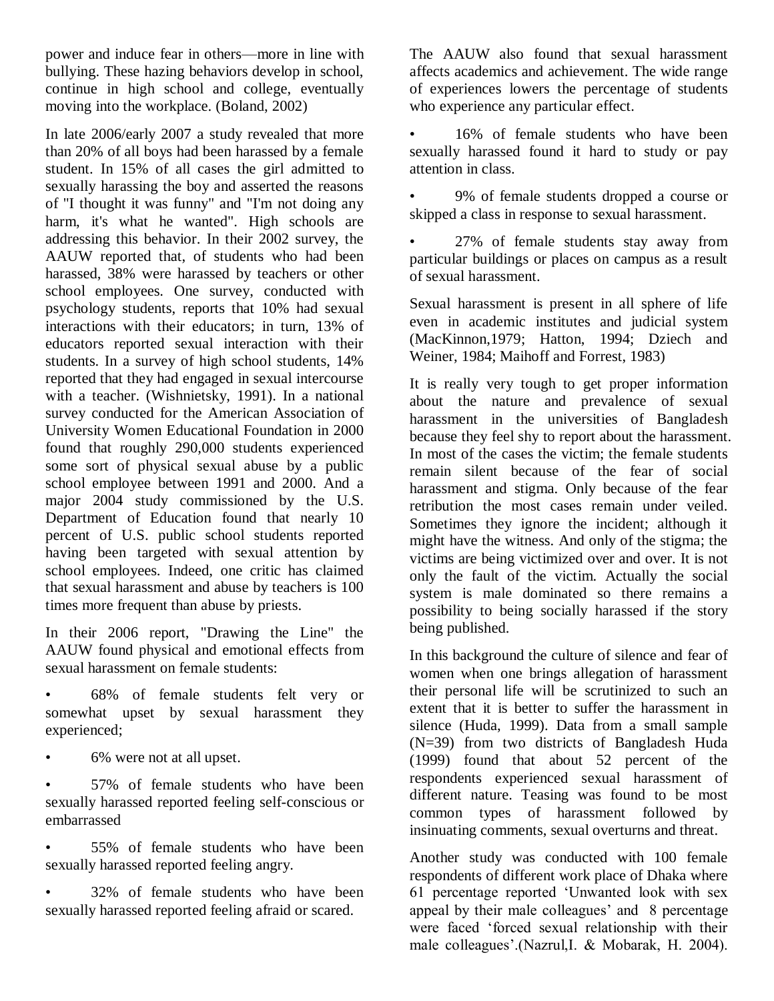power and induce fear in others—more in line with bullying. These hazing behaviors develop in school, continue in high school and college, eventually moving into the workplace. (Boland, 2002)

In late 2006/early 2007 a study revealed that more than 20% of all boys had been harassed by a female student. In 15% of all cases the girl admitted to sexually harassing the boy and asserted the reasons of "I thought it was funny" and "I'm not doing any harm, it's what he wanted". High schools are addressing this behavior. In their 2002 survey, the AAUW reported that, of students who had been harassed, 38% were harassed by teachers or other school employees. One survey, conducted with psychology students, reports that 10% had sexual interactions with their educators; in turn, 13% of educators reported sexual interaction with their students. In a survey of high school students, 14% reported that they had engaged in sexual intercourse with a teacher. (Wishnietsky, 1991). In a national survey conducted for the American Association of University Women Educational Foundation in 2000 found that roughly 290,000 students experienced some sort of physical sexual abuse by a public school employee between 1991 and 2000. And a major 2004 study commissioned by the U.S. Department of Education found that nearly 10 percent of U.S. public school students reported having been targeted with sexual attention by school employees. Indeed, one critic has claimed that sexual harassment and abuse by teachers is 100 times more frequent than abuse by priests.

In their 2006 report, "Drawing the Line" the AAUW found physical and emotional effects from sexual harassment on female students:

• 68% of female students felt very or somewhat upset by sexual harassment they experienced;

• 6% were not at all upset.

• 57% of female students who have been sexually harassed reported feeling self-conscious or embarrassed

• 55% of female students who have been sexually harassed reported feeling angry.

• 32% of female students who have been sexually harassed reported feeling afraid or scared.

The AAUW also found that sexual harassment affects academics and achievement. The wide range of experiences lowers the percentage of students who experience any particular effect.

16% of female students who have been sexually harassed found it hard to study or pay attention in class.

• 9% of female students dropped a course or skipped a class in response to sexual harassment.

• 27% of female students stay away from particular buildings or places on campus as a result of sexual harassment.

Sexual harassment is present in all sphere of life even in academic institutes and judicial system (MacKinnon,1979; Hatton, 1994; Dziech and Weiner, 1984; Maihoff and Forrest, 1983)

It is really very tough to get proper information about the nature and prevalence of sexual harassment in the universities of Bangladesh because they feel shy to report about the harassment. In most of the cases the victim; the female students remain silent because of the fear of social harassment and stigma. Only because of the fear retribution the most cases remain under veiled. Sometimes they ignore the incident; although it might have the witness. And only of the stigma; the victims are being victimized over and over. It is not only the fault of the victim. Actually the social system is male dominated so there remains a possibility to being socially harassed if the story being published.

In this background the culture of silence and fear of women when one brings allegation of harassment their personal life will be scrutinized to such an extent that it is better to suffer the harassment in silence (Huda, 1999). Data from a small sample (N=39) from two districts of Bangladesh Huda (1999) found that about 52 percent of the respondents experienced sexual harassment of different nature. Teasing was found to be most common types of harassment followed by insinuating comments, sexual overturns and threat.

Another study was conducted with 100 female respondents of different work place of Dhaka where 61 percentage reported ‗Unwanted look with sex appeal by their male colleagues' and 8 percentage were faced 'forced sexual relationship with their male colleagues'.(Nazrul,I. & Mobarak, H. 2004).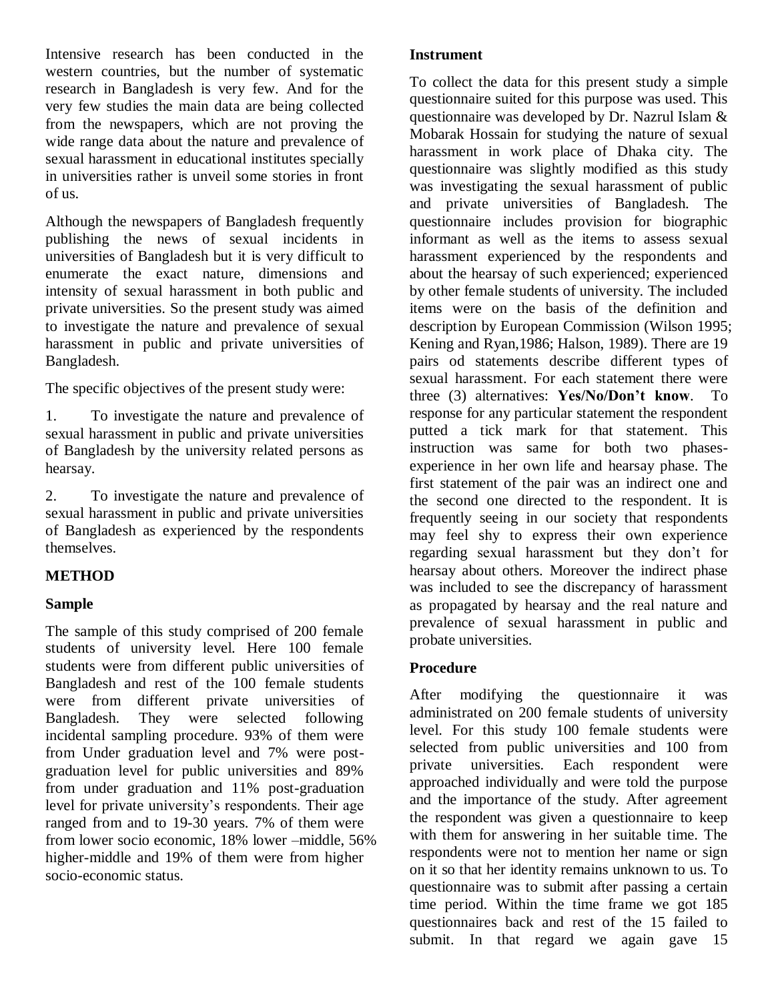Intensive research has been conducted in the western countries, but the number of systematic research in Bangladesh is very few. And for the very few studies the main data are being collected from the newspapers, which are not proving the wide range data about the nature and prevalence of sexual harassment in educational institutes specially in universities rather is unveil some stories in front of us.

Although the newspapers of Bangladesh frequently publishing the news of sexual incidents in universities of Bangladesh but it is very difficult to enumerate the exact nature, dimensions and intensity of sexual harassment in both public and private universities. So the present study was aimed to investigate the nature and prevalence of sexual harassment in public and private universities of Bangladesh.

The specific objectives of the present study were:

1. To investigate the nature and prevalence of sexual harassment in public and private universities of Bangladesh by the university related persons as hearsay.

2. To investigate the nature and prevalence of sexual harassment in public and private universities of Bangladesh as experienced by the respondents themselves.

## **METHOD**

### **Sample**

The sample of this study comprised of 200 female students of university level. Here 100 female students were from different public universities of Bangladesh and rest of the 100 female students were from different private universities of Bangladesh. They were selected following incidental sampling procedure. 93% of them were from Under graduation level and 7% were postgraduation level for public universities and 89% from under graduation and 11% post-graduation level for private university's respondents. Their age ranged from and to 19-30 years. 7% of them were from lower socio economic, 18% lower –middle, 56% higher-middle and 19% of them were from higher socio-economic status.

#### **Instrument**

To collect the data for this present study a simple questionnaire suited for this purpose was used. This questionnaire was developed by Dr. Nazrul Islam & Mobarak Hossain for studying the nature of sexual harassment in work place of Dhaka city. The questionnaire was slightly modified as this study was investigating the sexual harassment of public and private universities of Bangladesh. The questionnaire includes provision for biographic informant as well as the items to assess sexual harassment experienced by the respondents and about the hearsay of such experienced; experienced by other female students of university. The included items were on the basis of the definition and description by European Commission (Wilson 1995; Kening and Ryan,1986; Halson, 1989). There are 19 pairs od statements describe different types of sexual harassment. For each statement there were three (3) alternatives: **Yes/No/Don't know**. To response for any particular statement the respondent putted a tick mark for that statement. This instruction was same for both two phasesexperience in her own life and hearsay phase. The first statement of the pair was an indirect one and the second one directed to the respondent. It is frequently seeing in our society that respondents may feel shy to express their own experience regarding sexual harassment but they don't for hearsay about others. Moreover the indirect phase was included to see the discrepancy of harassment as propagated by hearsay and the real nature and prevalence of sexual harassment in public and probate universities.

### **Procedure**

After modifying the questionnaire it was administrated on 200 female students of university level. For this study 100 female students were selected from public universities and 100 from private universities. Each respondent were approached individually and were told the purpose and the importance of the study. After agreement the respondent was given a questionnaire to keep with them for answering in her suitable time. The respondents were not to mention her name or sign on it so that her identity remains unknown to us. To questionnaire was to submit after passing a certain time period. Within the time frame we got 185 questionnaires back and rest of the 15 failed to submit. In that regard we again gave 15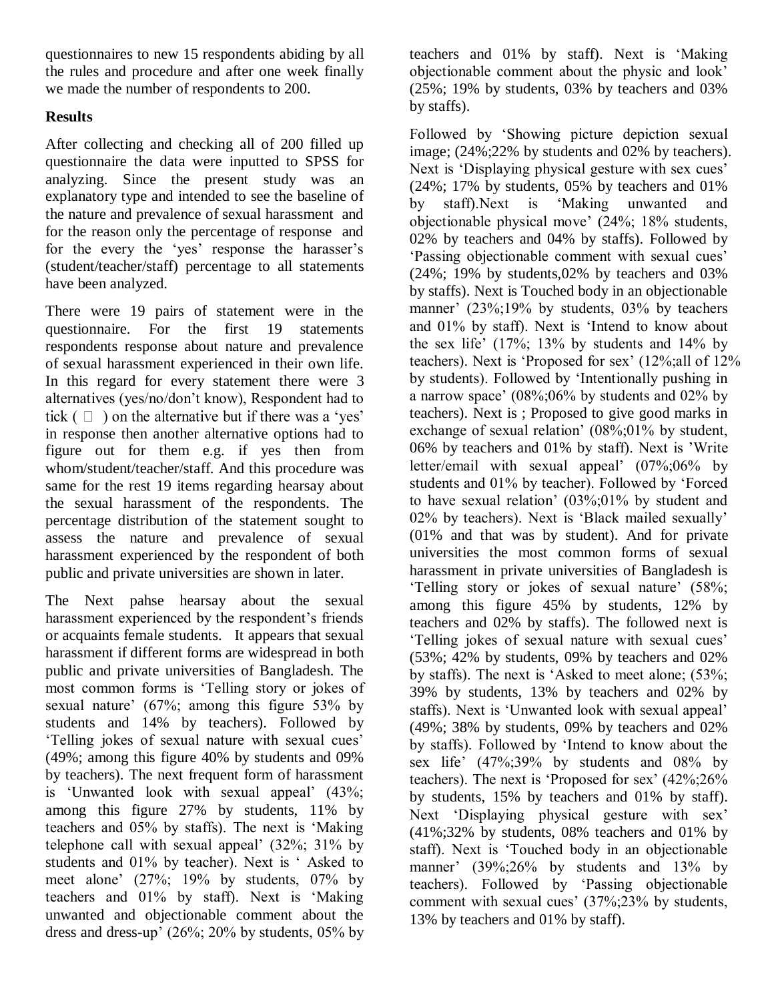questionnaires to new 15 respondents abiding by all the rules and procedure and after one week finally we made the number of respondents to 200.

## **Results**

After collecting and checking all of 200 filled up questionnaire the data were inputted to SPSS for analyzing. Since the present study was an explanatory type and intended to see the baseline of the nature and prevalence of sexual harassment and for the reason only the percentage of response and for the every the 'yes' response the harasser's (student/teacher/staff) percentage to all statements have been analyzed.

There were 19 pairs of statement were in the questionnaire. For the first 19 statements respondents response about nature and prevalence of sexual harassment experienced in their own life. In this regard for every statement there were 3 alternatives (yes/no/don't know), Respondent had to tick  $(\Box)$  on the alternative but if there was a 'yes' in response then another alternative options had to figure out for them e.g. if yes then from whom/student/teacher/staff. And this procedure was same for the rest 19 items regarding hearsay about the sexual harassment of the respondents. The percentage distribution of the statement sought to assess the nature and prevalence of sexual harassment experienced by the respondent of both public and private universities are shown in later.

The Next pahse hearsay about the sexual harassment experienced by the respondent's friends or acquaints female students. It appears that sexual harassment if different forms are widespread in both public and private universities of Bangladesh. The most common forms is 'Telling story or jokes of sexual nature' (67%; among this figure 53% by students and 14% by teachers). Followed by ‗Telling jokes of sexual nature with sexual cues' (49%; among this figure 40% by students and 09% by teachers). The next frequent form of harassment is 'Unwanted look with sexual appeal' (43%; among this figure 27% by students, 11% by teachers and 05% by staffs). The next is 'Making telephone call with sexual appeal' (32%; 31% by students and 01% by teacher). Next is 'Asked to meet alone' (27%; 19% by students, 07% by teachers and 01% by staff). Next is 'Making unwanted and objectionable comment about the dress and dress-up' (26%; 20% by students, 05% by teachers and 01% by staff). Next is 'Making objectionable comment about the physic and look' (25%; 19% by students, 03% by teachers and 03% by staffs).

Followed by 'Showing picture depiction sexual image; (24%;22% by students and 02% by teachers). Next is 'Displaying physical gesture with sex cues' (24%; 17% by students, 05% by teachers and 01% by staff).Next is 'Making unwanted and objectionable physical move' (24%; 18% students, 02% by teachers and 04% by staffs). Followed by ‗Passing objectionable comment with sexual cues' (24%; 19% by students,02% by teachers and 03% by staffs). Next is Touched body in an objectionable manner' (23%;19% by students, 03% by teachers and  $01\%$  by staff). Next is 'Intend to know about the sex life'  $(17\%; 13\%$  by students and  $14\%$  by teachers). Next is 'Proposed for sex' (12%;all of 12% by students). Followed by 'Intentionally pushing in a narrow space' (08%;06% by students and 02% by teachers). Next is ; Proposed to give good marks in exchange of sexual relation' (08%;01% by student, 06% by teachers and 01% by staff). Next is 'Write letter/email with sexual appeal' (07%;06% by students and 01% by teacher). Followed by 'Forced to have sexual relation' (03%;01% by student and 02% by teachers). Next is 'Black mailed sexually' (01% and that was by student). And for private universities the most common forms of sexual harassment in private universities of Bangladesh is ‗Telling story or jokes of sexual nature' (58%; among this figure 45% by students, 12% by teachers and 02% by staffs). The followed next is ‗Telling jokes of sexual nature with sexual cues' (53%; 42% by students, 09% by teachers and 02% by staffs). The next is 'Asked to meet alone;  $(53\%;$ 39% by students, 13% by teachers and 02% by staffs). Next is 'Unwanted look with sexual appeal' (49%; 38% by students, 09% by teachers and 02% by staffs). Followed by 'Intend to know about the sex life' (47%;39% by students and 08% by teachers). The next is 'Proposed for sex'  $(42\% : 26\%$ by students, 15% by teachers and 01% by staff). Next 'Displaying physical gesture with sex' (41%;32% by students, 08% teachers and 01% by staff). Next is 'Touched body in an objectionable manner' (39%;26% by students and 13% by teachers). Followed by 'Passing objectionable comment with sexual cues' (37%;23% by students, 13% by teachers and 01% by staff).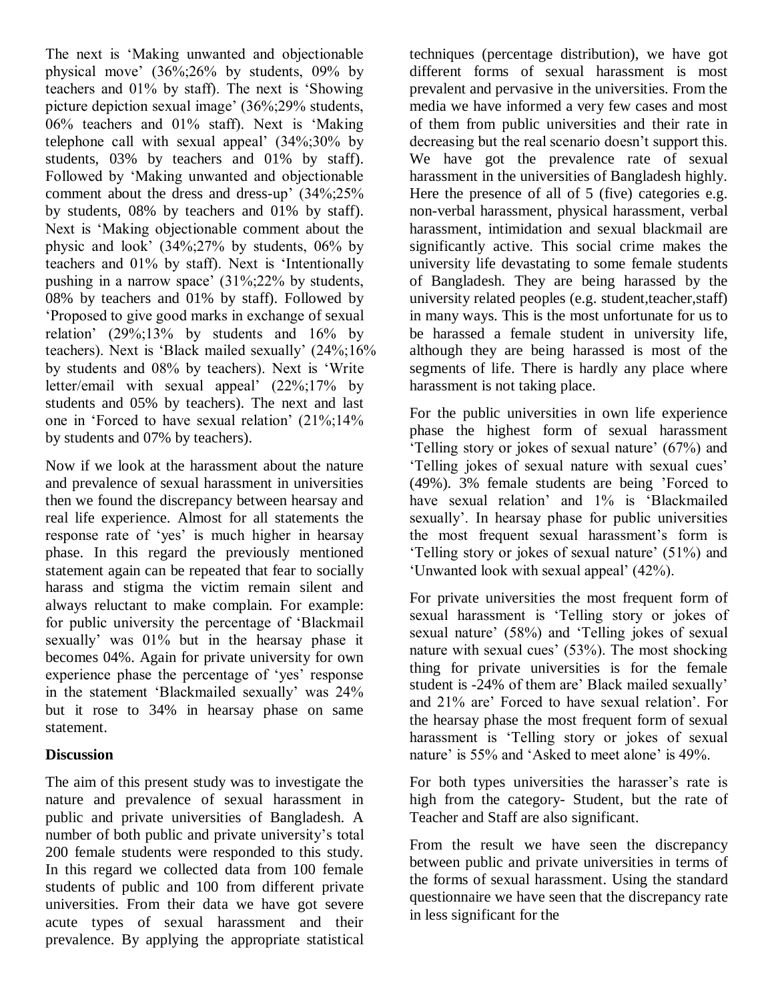The next is 'Making unwanted and objectionable physical move' (36%;26% by students, 09% by teachers and  $01\%$  by staff). The next is 'Showing picture depiction sexual image' (36%;29% students, 06% teachers and 01% staff). Next is 'Making telephone call with sexual appeal' (34%;30% by students, 03% by teachers and 01% by staff). Followed by 'Making unwanted and objectionable comment about the dress and dress-up' (34%;25% by students, 08% by teachers and 01% by staff). Next is 'Making objectionable comment about the physic and look' (34%;27% by students, 06% by teachers and 01% by staff). Next is 'Intentionally pushing in a narrow space' (31%;22% by students, 08% by teachers and 01% by staff). Followed by ‗Proposed to give good marks in exchange of sexual relation' (29%;13% by students and 16% by teachers). Next is 'Black mailed sexually' (24%;16% by students and 08% by teachers). Next is 'Write letter/email with sexual appeal' (22%;17% by students and 05% by teachers). The next and last one in 'Forced to have sexual relation' (21%;14% by students and 07% by teachers).

Now if we look at the harassment about the nature and prevalence of sexual harassment in universities then we found the discrepancy between hearsay and real life experience. Almost for all statements the response rate of 'yes' is much higher in hearsay phase. In this regard the previously mentioned statement again can be repeated that fear to socially harass and stigma the victim remain silent and always reluctant to make complain. For example: for public university the percentage of 'Blackmail' sexually' was 01% but in the hearsay phase it becomes 04%. Again for private university for own experience phase the percentage of 'yes' response in the statement 'Blackmailed sexually' was 24% but it rose to 34% in hearsay phase on same statement.

#### **Discussion**

The aim of this present study was to investigate the nature and prevalence of sexual harassment in public and private universities of Bangladesh. A number of both public and private university's total 200 female students were responded to this study. In this regard we collected data from 100 female students of public and 100 from different private universities. From their data we have got severe acute types of sexual harassment and their prevalence. By applying the appropriate statistical

techniques (percentage distribution), we have got different forms of sexual harassment is most prevalent and pervasive in the universities. From the media we have informed a very few cases and most of them from public universities and their rate in decreasing but the real scenario doesn't support this. We have got the prevalence rate of sexual harassment in the universities of Bangladesh highly. Here the presence of all of 5 (five) categories e.g. non-verbal harassment, physical harassment, verbal harassment, intimidation and sexual blackmail are significantly active. This social crime makes the university life devastating to some female students of Bangladesh. They are being harassed by the university related peoples (e.g. student,teacher,staff) in many ways. This is the most unfortunate for us to be harassed a female student in university life, although they are being harassed is most of the segments of life. There is hardly any place where harassment is not taking place.

For the public universities in own life experience phase the highest form of sexual harassment ‗Telling story or jokes of sexual nature' (67%) and ‗Telling jokes of sexual nature with sexual cues' (49%). 3% female students are being 'Forced to have sexual relation' and 1% is 'Blackmailed sexually'. In hearsay phase for public universities the most frequent sexual harassment's form is ‗Telling story or jokes of sexual nature' (51%) and ‗Unwanted look with sexual appeal' (42%).

For private universities the most frequent form of sexual harassment is 'Telling story or jokes of sexual nature' (58%) and 'Telling jokes of sexual nature with sexual cues' (53%). The most shocking thing for private universities is for the female student is -24% of them are' Black mailed sexually' and 21% are' Forced to have sexual relation'. For the hearsay phase the most frequent form of sexual harassment is 'Telling story or jokes of sexual nature' is 55% and 'Asked to meet alone' is 49%.

For both types universities the harasser's rate is high from the category- Student, but the rate of Teacher and Staff are also significant.

From the result we have seen the discrepancy between public and private universities in terms of the forms of sexual harassment. Using the standard questionnaire we have seen that the discrepancy rate in less significant for the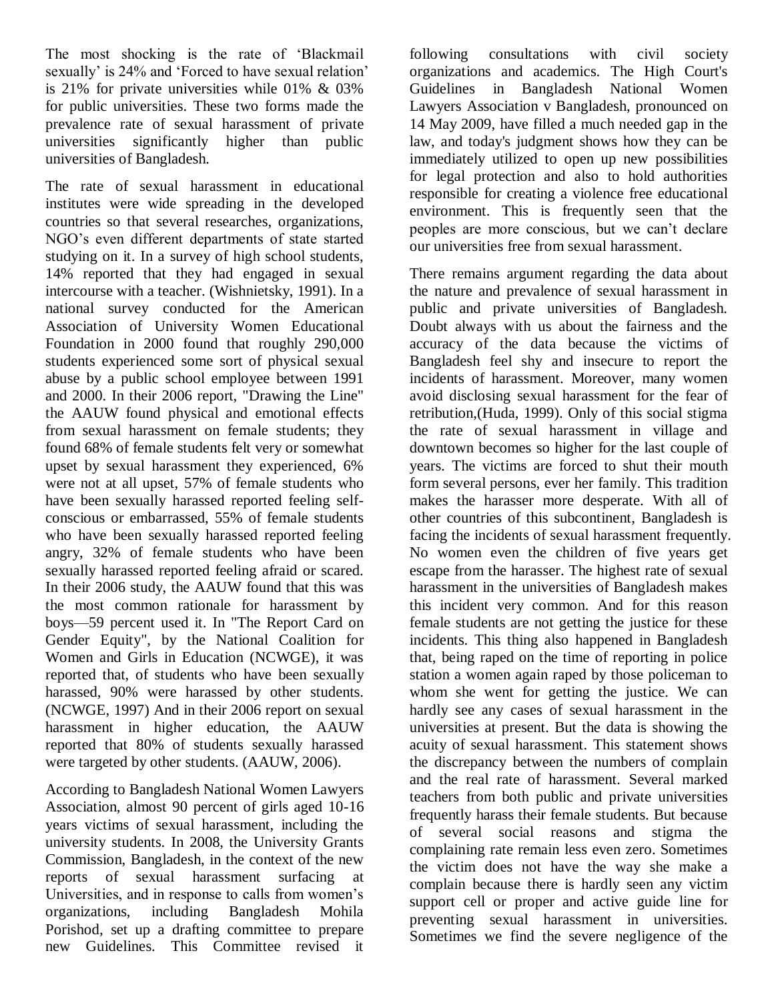The most shocking is the rate of 'Blackmail' sexually' is 24% and 'Forced to have sexual relation' is 21% for private universities while 01% & 03% for public universities. These two forms made the prevalence rate of sexual harassment of private universities significantly higher than public universities of Bangladesh.

The rate of sexual harassment in educational institutes were wide spreading in the developed countries so that several researches, organizations, NGO's even different departments of state started studying on it. In a survey of high school students, 14% reported that they had engaged in sexual intercourse with a teacher. (Wishnietsky, 1991). In a national survey conducted for the American Association of University Women Educational Foundation in 2000 found that roughly 290,000 students experienced some sort of physical sexual abuse by a public school employee between 1991 and 2000. In their 2006 report, "Drawing the Line" the AAUW found physical and emotional effects from sexual harassment on female students; they found 68% of female students felt very or somewhat upset by sexual harassment they experienced, 6% were not at all upset, 57% of female students who have been sexually harassed reported feeling selfconscious or embarrassed, 55% of female students who have been sexually harassed reported feeling angry, 32% of female students who have been sexually harassed reported feeling afraid or scared. In their 2006 study, the AAUW found that this was the most common rationale for harassment by boys—59 percent used it. In "The Report Card on Gender Equity", by the National Coalition for Women and Girls in Education (NCWGE), it was reported that, of students who have been sexually harassed, 90% were harassed by other students. (NCWGE, 1997) And in their 2006 report on sexual harassment in higher education, the AAUW reported that 80% of students sexually harassed were targeted by other students. (AAUW, 2006).

According to Bangladesh National Women Lawyers Association, almost 90 percent of girls aged 10-16 years victims of sexual harassment, including the university students. In 2008, the University Grants Commission, Bangladesh, in the context of the new reports of sexual harassment surfacing at Universities, and in response to calls from women's organizations, including Bangladesh Mohila Porishod, set up a drafting committee to prepare new Guidelines. This Committee revised it

following consultations with civil society organizations and academics. The High Court's Guidelines in Bangladesh National Women Lawyers Association v Bangladesh, pronounced on 14 May 2009, have filled a much needed gap in the law, and today's judgment shows how they can be immediately utilized to open up new possibilities for legal protection and also to hold authorities responsible for creating a violence free educational environment. This is frequently seen that the peoples are more conscious, but we can't declare our universities free from sexual harassment.

There remains argument regarding the data about the nature and prevalence of sexual harassment in public and private universities of Bangladesh. Doubt always with us about the fairness and the accuracy of the data because the victims of Bangladesh feel shy and insecure to report the incidents of harassment. Moreover, many women avoid disclosing sexual harassment for the fear of retribution,(Huda, 1999). Only of this social stigma the rate of sexual harassment in village and downtown becomes so higher for the last couple of years. The victims are forced to shut their mouth form several persons, ever her family. This tradition makes the harasser more desperate. With all of other countries of this subcontinent, Bangladesh is facing the incidents of sexual harassment frequently. No women even the children of five years get escape from the harasser. The highest rate of sexual harassment in the universities of Bangladesh makes this incident very common. And for this reason female students are not getting the justice for these incidents. This thing also happened in Bangladesh that, being raped on the time of reporting in police station a women again raped by those policeman to whom she went for getting the justice. We can hardly see any cases of sexual harassment in the universities at present. But the data is showing the acuity of sexual harassment. This statement shows the discrepancy between the numbers of complain and the real rate of harassment. Several marked teachers from both public and private universities frequently harass their female students. But because of several social reasons and stigma the complaining rate remain less even zero. Sometimes the victim does not have the way she make a complain because there is hardly seen any victim support cell or proper and active guide line for preventing sexual harassment in universities. Sometimes we find the severe negligence of the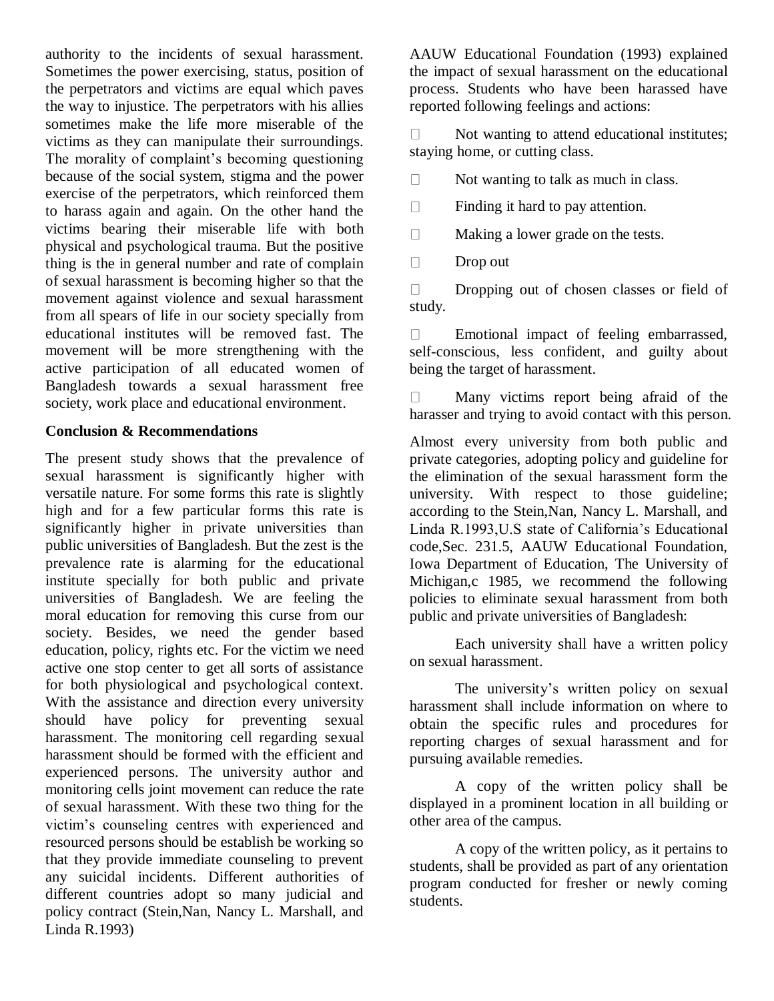authority to the incidents of sexual harassment. Sometimes the power exercising, status, position of the perpetrators and victims are equal which paves the way to injustice. The perpetrators with his allies sometimes make the life more miserable of the victims as they can manipulate their surroundings. The morality of complaint's becoming questioning because of the social system, stigma and the power exercise of the perpetrators, which reinforced them to harass again and again. On the other hand the victims bearing their miserable life with both physical and psychological trauma. But the positive thing is the in general number and rate of complain of sexual harassment is becoming higher so that the movement against violence and sexual harassment from all spears of life in our society specially from educational institutes will be removed fast. The movement will be more strengthening with the active participation of all educated women of Bangladesh towards a sexual harassment free society, work place and educational environment.

#### **Conclusion & Recommendations**

The present study shows that the prevalence of sexual harassment is significantly higher with versatile nature. For some forms this rate is slightly high and for a few particular forms this rate is significantly higher in private universities than public universities of Bangladesh. But the zest is the prevalence rate is alarming for the educational institute specially for both public and private universities of Bangladesh. We are feeling the moral education for removing this curse from our society. Besides, we need the gender based education, policy, rights etc. For the victim we need active one stop center to get all sorts of assistance for both physiological and psychological context. With the assistance and direction every university should have policy for preventing sexual harassment. The monitoring cell regarding sexual harassment should be formed with the efficient and experienced persons. The university author and monitoring cells joint movement can reduce the rate of sexual harassment. With these two thing for the victim's counseling centres with experienced and resourced persons should be establish be working so that they provide immediate counseling to prevent any suicidal incidents. Different authorities of different countries adopt so many judicial and policy contract (Stein,Nan, Nancy L. Marshall, and Linda R.1993)

AAUW Educational Foundation (1993) explained the impact of sexual harassment on the educational process. Students who have been harassed have reported following feelings and actions:

Not wanting to attend educational institutes;  $\Box$ staying home, or cutting class.

Not wanting to talk as much in class.  $\Box$ 

 $\Box$ Finding it hard to pay attention.

 $\Box$ Making a lower grade on the tests.

 $\Box$ Drop out

Dropping out of chosen classes or field of  $\Box$ study.

Emotional impact of feeling embarrassed,  $\Box$ self-conscious, less confident, and guilty about being the target of harassment.

Many victims report being afraid of the  $\Box$ harasser and trying to avoid contact with this person.

Almost every university from both public and private categories, adopting policy and guideline for the elimination of the sexual harassment form the university. With respect to those guideline; according to the Stein,Nan, Nancy L. Marshall, and Linda R.1993,U.S state of California's Educational code,Sec. 231.5, AAUW Educational Foundation, Iowa Department of Education, The University of Michigan,c 1985, we recommend the following policies to eliminate sexual harassment from both public and private universities of Bangladesh:

Each university shall have a written policy on sexual harassment.

The university's written policy on sexual harassment shall include information on where to obtain the specific rules and procedures for reporting charges of sexual harassment and for pursuing available remedies.

A copy of the written policy shall be displayed in a prominent location in all building or other area of the campus.

A copy of the written policy, as it pertains to students, shall be provided as part of any orientation program conducted for fresher or newly coming students.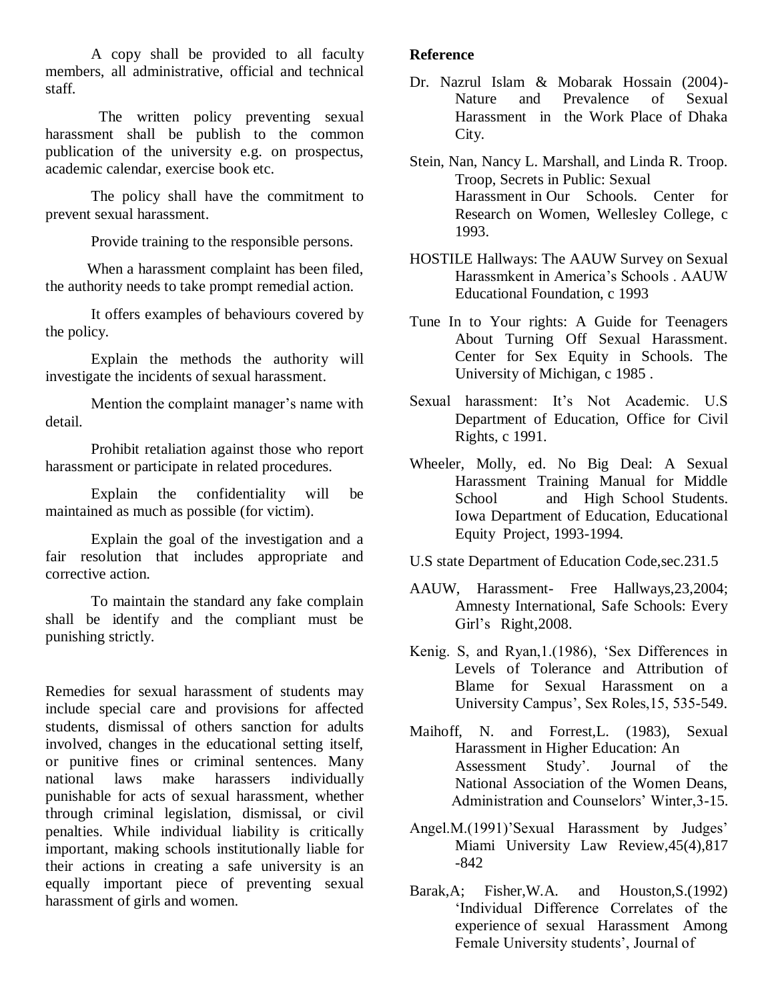A copy shall be provided to all faculty members, all administrative, official and technical staff.

 The written policy preventing sexual harassment shall be publish to the common publication of the university e.g. on prospectus, academic calendar, exercise book etc.

The policy shall have the commitment to prevent sexual harassment.

Provide training to the responsible persons.

When a harassment complaint has been filed, the authority needs to take prompt remedial action.

It offers examples of behaviours covered by the policy.

Explain the methods the authority will investigate the incidents of sexual harassment.

Mention the complaint manager's name with detail.

Prohibit retaliation against those who report harassment or participate in related procedures.

Explain the confidentiality will be maintained as much as possible (for victim).

Explain the goal of the investigation and a fair resolution that includes appropriate and corrective action.

To maintain the standard any fake complain shall be identify and the compliant must be punishing strictly.

Remedies for sexual harassment of students may include special care and provisions for affected students, dismissal of others sanction for adults involved, changes in the educational setting itself, or punitive fines or criminal sentences. Many national laws make harassers individually punishable for acts of sexual harassment, whether through criminal legislation, dismissal, or civil penalties. While individual liability is critically important, making schools institutionally liable for their actions in creating a safe university is an equally important piece of preventing sexual harassment of girls and women.

#### **Reference**

- Dr. Nazrul Islam & Mobarak Hossain (2004)- Nature and Prevalence of Sexual Harassment in the Work Place of Dhaka City.
- Stein, Nan, Nancy L. Marshall, and Linda R. Troop. Troop, Secrets in Public: Sexual Harassment in Our Schools. Center for Research on Women, Wellesley College, c 1993.
- HOSTILE Hallways: The AAUW Survey on Sexual Harassmkent in America's Schools . AAUW Educational Foundation, c 1993
- Tune In to Your rights: A Guide for Teenagers About Turning Off Sexual Harassment. Center for Sex Equity in Schools. The University of Michigan, c 1985 .
- Sexual harassment: It's Not Academic. U.S Department of Education, Office for Civil Rights, c 1991.
- Wheeler, Molly, ed. No Big Deal: A Sexual Harassment Training Manual for Middle School and High School Students. Iowa Department of Education, Educational Equity Project, 1993-1994.
- U.S state Department of Education Code,sec.231.5
- AAUW, Harassment- Free Hallways,23,2004; Amnesty International, Safe Schools: Every Girl's Right,2008.
- Kenig. S, and Ryan, 1. (1986), 'Sex Differences in Levels of Tolerance and Attribution of Blame for Sexual Harassment on a University Campus', Sex Roles,15, 535-549.
- Maihoff, N. and Forrest,L. (1983), Sexual Harassment in Higher Education: An Assessment Study'. Journal of the National Association of the Women Deans, Administration and Counselors' Winter,3-15.
- Angel.M.(1991)'Sexual Harassment by Judges' Miami University Law Review,45(4),817 -842
- Barak,A; Fisher,W.A. and Houston,S.(1992) 'Individual Difference Correlates of the experience of sexual Harassment Among Female University students', Journal of